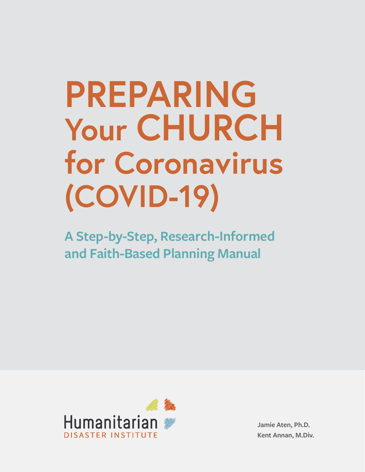# **PREPARING Your CHURCH for Coronavirus (COVID-19)**

**A Step-by-Step, Research-Informed and Faith-Based Planning Manual** 



**Jamie Aten, Ph.D. Kent Annan, M.Div.**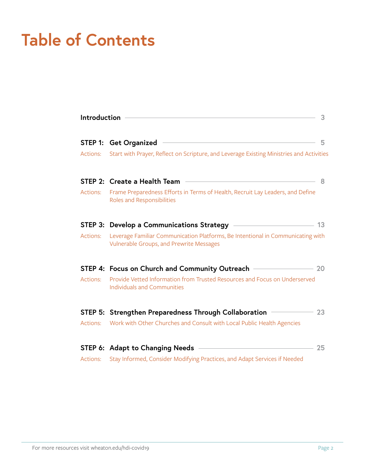# **Table of Contents**

| Introduction<br>3 |                                                                                                                             |       |
|-------------------|-----------------------------------------------------------------------------------------------------------------------------|-------|
| STEP 1:           | <b>Get Organized</b>                                                                                                        | 5     |
| Actions:          | Start with Prayer, Reflect on Scripture, and Leverage Existing Ministries and Activities                                    |       |
|                   | STEP 2: Create a Health Team                                                                                                | 8     |
| Actions:          | Frame Preparedness Efforts in Terms of Health, Recruit Lay Leaders, and Define<br>Roles and Responsibilities                |       |
|                   |                                                                                                                             | 13    |
| Actions:          | Leverage Familiar Communication Platforms, Be Intentional in Communicating with<br>Vulnerable Groups, and Prewrite Messages |       |
|                   | STEP 4: Focus on Church and Community Outreach -                                                                            | - 20  |
| Actions:          | Provide Vetted Information from Trusted Resources and Focus on Underserved<br><b>Individuals and Communities</b>            |       |
|                   | STEP 5: Strengthen Preparedness Through Collaboration                                                                       | $-23$ |
| Actions:          | Work with Other Churches and Consult with Local Public Health Agencies                                                      |       |
|                   | <u> 1980 - Johann Barbara, martxa alemaniar a</u><br>STEP 6: Adapt to Changing Needs                                        | 25    |
| Actions:          | Stay Informed, Consider Modifying Practices, and Adapt Services if Needed                                                   |       |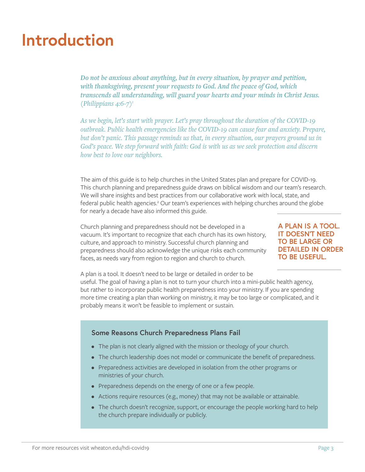### **Introduction**

*Do not be anxious about anything, but in every situation, by prayer and petition, with thanksgiving, present your requests to God. And the peace of God, which transcends all understanding, will guard your hearts and your minds in Christ Jesus. (Philippians 4:6-7)1*

*As we begin, let's start with prayer. Let's pray throughout the duration of the COVID-19 outbreak. Public health emergencies like the COVID-19 can cause fear and anxiety. Prepare, but don't panic. This passage reminds us that, in every situation, our prayers ground us in God's peace. We step forward with faith: God is with us as we seek protection and discern how best to love our neighbors.*

The aim of this guide is to help churches in the United States plan and prepare for COVID-19. This church planning and preparedness guide draws on biblical wisdom and our team's research. We will share insights and best practices from our collaborative work with local, state, and federal public health agencies.<sup>2</sup> Our team's experiences with helping churches around the globe for nearly a decade have also informed this guide.

Church planning and preparedness should not be developed in a vacuum. It's important to recognize that each church has its own history, culture, and approach to ministry. Successful church planning and preparedness should also acknowledge the unique risks each community faces, as needs vary from region to region and church to church.

**A PLAN IS A TOOL. IT DOESN'T NEED TO BE LARGE OR DETAILED IN ORDER TO BE USEFUL.** 

A plan is a tool. It doesn't need to be large or detailed in order to be useful. The goal of having a plan is not to turn your church into a mini-public health agency, but rather to incorporate public health preparedness into your ministry. If you are spending more time creating a plan than working on ministry, it may be too large or complicated, and it probably means it won't be feasible to implement or sustain.

#### **Some Reasons Church Preparedness Plans Fail**

- The plan is not clearly aligned with the mission or theology of your church.
- The church leadership does not model or communicate the benefit of preparedness.
- Preparedness activities are developed in isolation from the other programs or ministries of your church.
- Preparedness depends on the energy of one or a few people.
- Actions require resources (e.g., money) that may not be available or attainable.
- The church doesn't recognize, support, or encourage the people working hard to help the church prepare individually or publicly.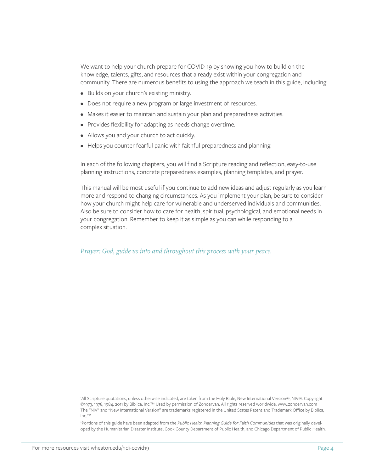We want to help your church prepare for COVID-19 by showing you how to build on the knowledge, talents, gifts, and resources that already exist within your congregation and community. There are numerous benefits to using the approach we teach in this guide, including:

- Builds on your church's existing ministry.
- Does not require a new program or large investment of resources.
- Makes it easier to maintain and sustain your plan and preparedness activities.
- Provides flexibility for adapting as needs change overtime.
- Allows you and your church to act quickly.
- Helps you counter fearful panic with faithful preparedness and planning.

In each of the following chapters, you will find a Scripture reading and reflection, easy-to-use planning instructions, concrete preparedness examples, planning templates, and prayer.

This manual will be most useful if you continue to add new ideas and adjust regularly as you learn more and respond to changing circumstances. As you implement your plan, be sure to consider how your church might help care for vulnerable and underserved individuals and communities. Also be sure to consider how to care for health, spiritual, psychological, and emotional needs in your congregation. Remember to keep it as simple as you can while responding to a complex situation.

*Prayer: God, guide us into and throughout this process with your peace.*

1 All Scripture quotations, unless otherwise indicated, are taken from the Holy Bible, New International Version®, NIV®. Copyright ©1973, 1978, 1984, 2011 by Biblica, Inc.™ Used by permission of Zondervan. All rights reserved worldwide. www.zondervan.com The "NIV" and "New International Version" are trademarks registered in the United States Patent and Trademark Office by Biblica, Inc.™

2 Portions of this guide have been adapted from the *Public Health Planning Guide for Faith Communities* that was originally developed by the Humanitarian Disaster Institute, Cook County Department of Public Health, and Chicago Department of Public Health.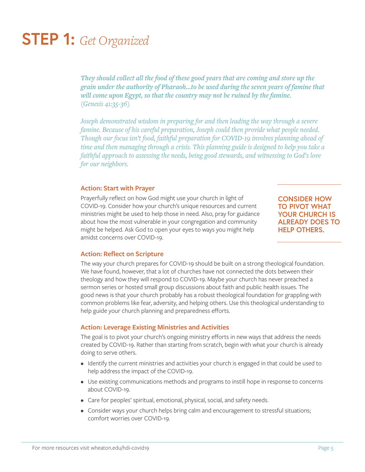### **STEP 1:** *Get Organized*

*They should collect all the food of these good years that are coming and store up the grain under the authority of Pharaoh…to be used during the seven years of famine that will come upon Egypt, so that the country may not be ruined by the famine. (Genesis 41:35-36)*

*Joseph demonstrated wisdom in preparing for and then leading the way through a severe famine. Because of his careful preparation, Joseph could then provide what people needed. Though our focus isn't food, faithful preparation for COVID-19 involves planning ahead of time and then managing through a crisis. This planning guide is designed to help you take a faithful approach to assessing the needs, being good stewards, and witnessing to God's love for our neighbors.*

#### **Action: Start with Prayer**

Prayerfully reflect on how God might use your church in light of COVID-19. Consider how your church's unique resources and current ministries might be used to help those in need. Also, pray for guidance about how the most vulnerable in your congregation and community might be helped. Ask God to open your eyes to ways you might help amidst concerns over COVID-19.

**CONSIDER HOW TO PIVOT WHAT YOUR CHURCH IS ALREADY DOES TO HELP OTHERS.** 

#### **Action: Reflect on Scripture**

The way your church prepares for COVID-19 should be built on a strong theological foundation. We have found, however, that a lot of churches have not connected the dots between their theology and how they will respond to COVID-19. Maybe your church has never preached a sermon series or hosted small group discussions about faith and public health issues. The good news is that your church probably has a robust theological foundation for grappling with common problems like fear, adversity, and helping others. Use this theological understanding to help guide your church planning and preparedness efforts.

#### **Action: Leverage Existing Ministries and Activities**

The goal is to pivot your church's ongoing ministry efforts in new ways that address the needs created by COVID-19. Rather than starting from scratch, begin with what your church is already doing to serve others.

- Identify the current ministries and activities your church is engaged in that could be used to help address the impact of the COVID-19.
- Use existing communications methods and programs to instill hope in response to concerns about COVID-19.
- Care for peoples' spiritual, emotional, physical, social, and safety needs.
- Consider ways your church helps bring calm and encouragement to stressful situations; comfort worries over COVID-19.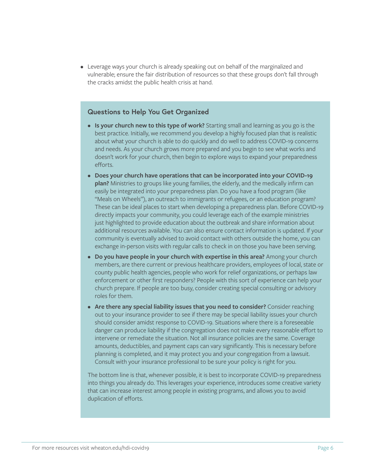• Leverage ways your church is already speaking out on behalf of the marginalized and vulnerable; ensure the fair distribution of resources so that these groups don't fall through the cracks amidst the public health crisis at hand.

#### **Questions to Help You Get Organized**

- **• Is your church new to this type of work?** Starting small and learning as you go is the best practice. Initially, we recommend you develop a highly focused plan that is realistic about what your church is able to do quickly and do well to address COVID-19 concerns and needs. As your church grows more prepared and you begin to see what works and doesn't work for your church, then begin to explore ways to expand your preparedness efforts.
- **• Does your church have operations that can be incorporated into your COVID-19 plan?** Ministries to groups like young families, the elderly, and the medically infirm can easily be integrated into your preparedness plan. Do you have a food program (like "Meals on Wheels"), an outreach to immigrants or refugees, or an education program? These can be ideal places to start when developing a preparedness plan. Before COVID-19 directly impacts your community, you could leverage each of the example ministries just highlighted to provide education about the outbreak and share information about additional resources available. You can also ensure contact information is updated. If your community is eventually advised to avoid contact with others outside the home, you can exchange in-person visits with regular calls to check in on those you have been serving.
- **• Do you have people in your church with expertise in this area?** Among your church members, are there current or previous healthcare providers, employees of local, state or county public health agencies, people who work for relief organizations, or perhaps law enforcement or other first responders? People with this sort of experience can help your church prepare. If people are too busy, consider creating special consulting or advisory roles for them.
- **• Are there any special liability issues that you need to consider?** Consider reaching out to your insurance provider to see if there may be special liability issues your church should consider amidst response to COVID-19. Situations where there is a foreseeable danger can produce liability if the congregation does not make every reasonable effort to intervene or remediate the situation. Not all insurance policies are the same. Coverage amounts, deductibles, and payment caps can vary significantly. This is necessary before planning is completed, and it may protect you and your congregation from a lawsuit. Consult with your insurance professional to be sure your policy is right for you.

The bottom line is that, whenever possible, it is best to incorporate COVID-19 preparedness into things you already do. This leverages your experience, introduces some creative variety that can increase interest among people in existing programs, and allows you to avoid duplication of efforts.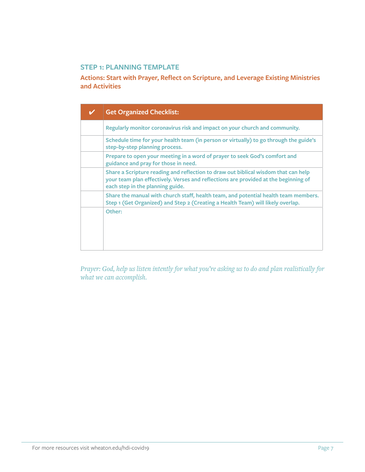#### **STEP 1: PLANNING TEMPLATE**

**Actions: Start with Prayer, Reflect on Scripture, and Leverage Existing Ministries and Activities**

| <b>Get Organized Checklist:</b>                                                                                                                                                                               |
|---------------------------------------------------------------------------------------------------------------------------------------------------------------------------------------------------------------|
| Regularly monitor coronavirus risk and impact on your church and community.                                                                                                                                   |
| Schedule time for your health team (in person or virtually) to go through the guide's<br>step-by-step planning process.                                                                                       |
| Prepare to open your meeting in a word of prayer to seek God's comfort and<br>guidance and pray for those in need.                                                                                            |
| Share a Scripture reading and reflection to draw out biblical wisdom that can help<br>your team plan effectively. Verses and reflections are provided at the beginning of<br>each step in the planning guide. |
| Share the manual with church staff, health team, and potential health team members.<br>Step 1 (Get Organized) and Step 2 (Creating a Health Team) will likely overlap.                                        |
| Other:                                                                                                                                                                                                        |

*Prayer: God, help us listen intently for what you're asking us to do and plan realistically for what we can accomplish.*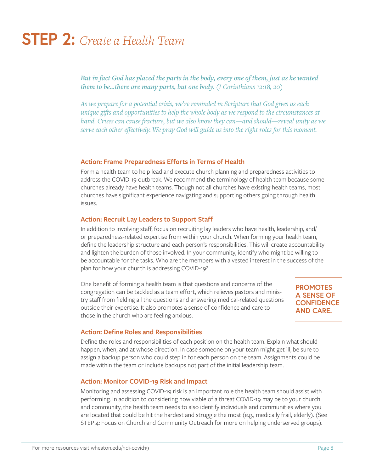# **STEP 2:** *Create a Health Team*

*But in fact God has placed the parts in the body, every one of them, just as he wanted them to be...there are many parts, but one body. (I Corinthians 12:18, 20)*

*As we prepare for a potential crisis, we're reminded in Scripture that God gives us each unique gifts and opportunities to help the whole body as we respond to the circumstances at hand. Crises can cause fracture, but we also know they can—and should—reveal unity as we serve each other effectively. We pray God will guide us into the right roles for this moment.* 

#### **Action: Frame Preparedness Efforts in Terms of Health**

Form a health team to help lead and execute church planning and preparedness activities to address the COVID-19 outbreak. We recommend the terminology of health team because some churches already have health teams. Though not all churches have existing health teams, most churches have significant experience navigating and supporting others going through health issues.

#### **Action: Recruit Lay Leaders to Support Staff**

In addition to involving staff, focus on recruiting lay leaders who have health, leadership, and/ or preparedness-related expertise from within your church. When forming your health team, define the leadership structure and each person's responsibilities. This will create accountability and lighten the burden of those involved. In your community, identify who might be willing to be accountable for the tasks. Who are the members with a vested interest in the success of the plan for how your church is addressing COVID-19?

One benefit of forming a health team is that questions and concerns of the congregation can be tackled as a team effort, which relieves pastors and ministry staff from fielding all the questions and answering medical-related questions outside their expertise. It also promotes a sense of confidence and care to those in the church who are feeling anxious.

**PROMOTES A SENSE OF CONFIDENCE AND CARE.**

#### **Action: Define Roles and Responsibilities**

Define the roles and responsibilities of each position on the health team. Explain what should happen, when, and at whose direction. In case someone on your team might get ill, be sure to assign a backup person who could step in for each person on the team. Assignments could be made within the team or include backups not part of the initial leadership team.

#### **Action: Monitor COVID-19 Risk and Impact**

Monitoring and assessing COVID-19 risk is an important role the health team should assist with performing. In addition to considering how viable of a threat COVID-19 may be to your church and community, the health team needs to also identify individuals and communities where you are located that could be hit the hardest and struggle the most (e.g., medically frail, elderly). (See STEP 4: Focus on Church and Community Outreach for more on helping underserved groups).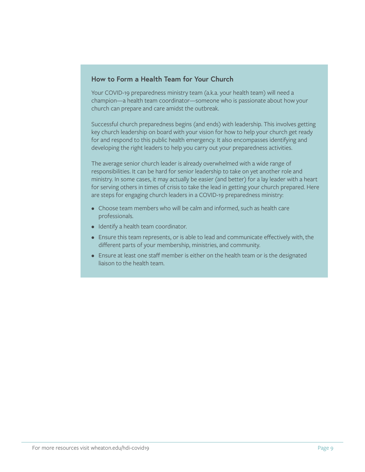#### **How to Form a Health Team for Your Church**

Your COVID-19 preparedness ministry team (a.k.a. your health team) will need a champion—a health team coordinator—someone who is passionate about how your church can prepare and care amidst the outbreak.

Successful church preparedness begins (and ends) with leadership. This involves getting key church leadership on board with your vision for how to help your church get ready for and respond to this public health emergency. It also encompasses identifying and developing the right leaders to help you carry out your preparedness activities.

The average senior church leader is already overwhelmed with a wide range of responsibilities. It can be hard for senior leadership to take on yet another role and ministry. In some cases, it may actually be easier (and better) for a lay leader with a heart for serving others in times of crisis to take the lead in getting your church prepared. Here are steps for engaging church leaders in a COVID-19 preparedness ministry:

- Choose team members who will be calm and informed, such as health care professionals.
- Identify a health team coordinator.
- Ensure this team represents, or is able to lead and communicate effectively with, the different parts of your membership, ministries, and community.
- Ensure at least one staff member is either on the health team or is the designated liaison to the health team.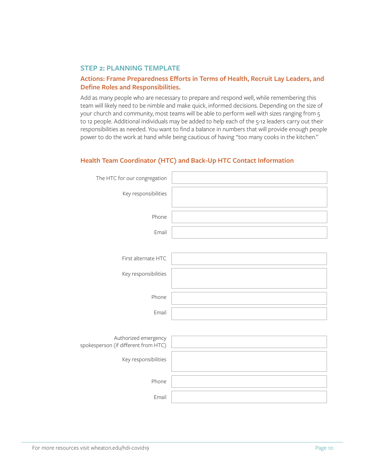#### **STEP 2: PLANNING TEMPLATE**

#### **Actions: Frame Preparedness Efforts in Terms of Health, Recruit Lay Leaders, and Define Roles and Responsibilities.**

Add as many people who are necessary to prepare and respond well, while remembering this team will likely need to be nimble and make quick, informed decisions. Depending on the size of your church and community, most teams will be able to perform well with sizes ranging from 5 to 12 people. Additional individuals may be added to help each of the 5-12 leaders carry out their responsibilities as needed. You want to find a balance in numbers that will provide enough people power to do the work at hand while being cautious of having "too many cooks in the kitchen."

#### **Health Team Coordinator (HTC) and Back-Up HTC Contact Information**

| The HTC for our congregation                                 |  |
|--------------------------------------------------------------|--|
| Key responsibilities                                         |  |
| Phone                                                        |  |
| Email                                                        |  |
|                                                              |  |
| First alternate HTC                                          |  |
| Key responsibilities                                         |  |
|                                                              |  |
| Phone                                                        |  |
| Email                                                        |  |
|                                                              |  |
| Authorized emergency<br>spokesperson (if different from HTC) |  |
| Key responsibilities                                         |  |
|                                                              |  |
| Phone                                                        |  |
| Email                                                        |  |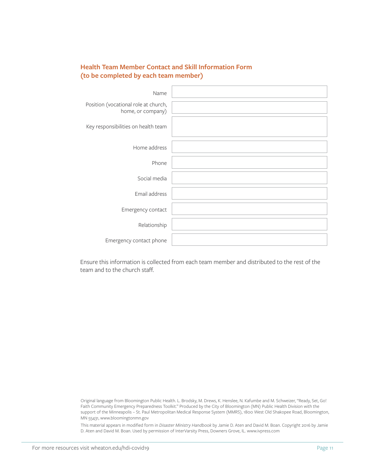#### **Health Team Member Contact and Skill Information Form (to be completed by each team member)**

| Name                                                      |  |
|-----------------------------------------------------------|--|
| Position (vocational role at church,<br>home, or company) |  |
| Key responsibilities on health team                       |  |
| Home address                                              |  |
| Phone                                                     |  |
| Social media                                              |  |
| Email address                                             |  |
| Emergency contact                                         |  |
| Relationship                                              |  |
| Emergency contact phone                                   |  |

Ensure this information is collected from each team member and distributed to the rest of the team and to the church staff.

Original language from Bloomington Public Health. L. Brodsky, M. Drews, K. Henslee, N. Kafumbe and M. Schweizer, "Ready, Set, Go! Faith Community Emergency Preparedness Toolkit." Produced by the City of Bloomington (MN) Public Health Division with the support of the Minneapolis – St. Paul Metropolitan Medical Response System (MMRS), 1800 West Old Shakopee Road, Bloomington, MN 55431, www.bloomingtonmn.gov

This material appears in modified form in *Disaster Ministry Handbook* by Jamie D. Aten and David M. Boan. Copyright 2016 by Jamie D. Aten and David M. Boan. Used by permission of InterVarsity Press, Downers Grove, IL. www.ivpress.com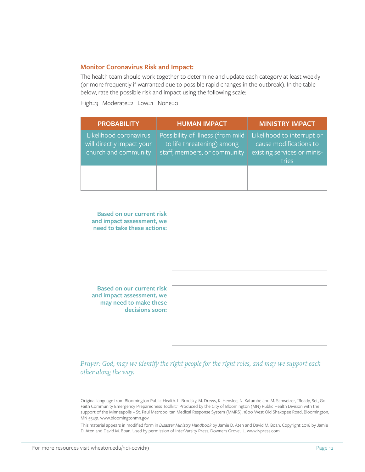#### **Monitor Coronavirus Risk and Impact:**

The health team should work together to determine and update each category at least weekly (or more frequently if warranted due to possible rapid changes in the outbreak). In the table below, rate the possible risk and impact using the following scale:

High=3 Moderate=2 Low=1 None=0

| <b>PROBABILITY</b>                                                          | <b>HUMAN IMPACT</b>                                                                             | <b>MINISTRY IMPACT</b>                                                                       |
|-----------------------------------------------------------------------------|-------------------------------------------------------------------------------------------------|----------------------------------------------------------------------------------------------|
| Likelihood coronavirus<br>will directly impact your<br>church and community | Possibility of illness (from mild<br>to life threatening) among<br>staff, members, or community | Likelihood to interrupt or<br>cause modifications to<br>existing services or minis-<br>tries |
|                                                                             |                                                                                                 |                                                                                              |



**Based on our current risk and impact assessment, we may need to make these decisions soon:**



*Prayer: God, may we identify the right people for the right roles, and may we support each other along the way.*

Original language from Bloomington Public Health. L. Brodsky, M. Drews, K. Henslee, N. Kafumbe and M. Schweizer, "Ready, Set, Go! Faith Community Emergency Preparedness Toolkit." Produced by the City of Bloomington (MN) Public Health Division with the support of the Minneapolis – St. Paul Metropolitan Medical Response System (MMRS), 1800 West Old Shakopee Road, Bloomington, MN 55431, www.bloomingtonmn.gov

This material appears in modified form in *Disaster Ministry Handbook* by Jamie D. Aten and David M. Boan. Copyright 2016 by Jamie D. Aten and David M. Boan. Used by permission of InterVarsity Press, Downers Grove, IL. www.ivpress.com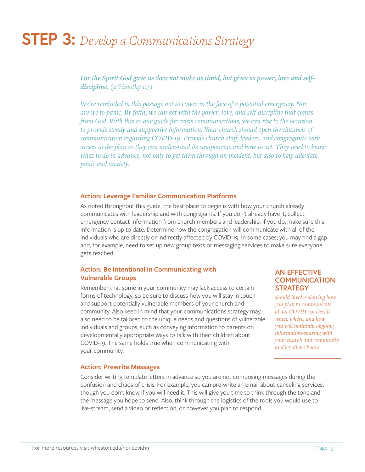### **STEP 3:** *Develop a Communications Strategy*

*For the Spirit God gave us does not make us timid, but gives us power, love and selfdiscipline. (2 Timothy 1:7)*

*We're reminded in this passage not to cower in the face of a potential emergency. Nor are we to panic. By faith, we can act with the power, love, and self-discipline that comes from God. With this as our guide for crisis communications, we can rise to the occasion to provide steady and supportive information. Your church should open the channels of communication regarding COVID-19. Provide church staff, leaders, and congregants with access to the plan so they can understand its components and how to act. They need to know what to do in advance, not only to get them through an incident, but also to help alleviate panic and anxiety.*

#### **Action: Leverage Familiar Communication Platforms**

As noted throughout this guide, the best place to begin is with how your church already communicates with leadership and with congregants. If you don't already have it, collect emergency contact information from church members and leadership. If you do, make sure this information is up to date. Determine how the congregation will communicate with all of the individuals who are directly or indirectly affected by COVID-19. In some cases, you may find a gap and, for example, need to set up new group texts or messaging services to make sure everyone gets reached.

#### **Action: Be Intentional in Communicating with Vulnerable Groups**

Remember that some in your community may lack access to certain forms of technology, so be sure to discuss how you will stay in touch and support potentially vulnerable members of your church and community. Also keep in mind that your communications strategy may also need to be tailored to the unique needs and questions of vulnerable individuals and groups, such as conveying information to parents on developmentally appropriate ways to talk with their children about COVID-19. The same holds true when communicating with your community.

#### **AN EFFECTIVE COMMUNICATION STRATEGY**

*should involve sharing how you plan to communicate about COVID-19. Decide when, where, and how you will maintain ongoing information-sharing with your church and community and let others know.*

#### **Action: Prewrite Messages**

Consider writing template letters in advance so you are not composing messages during the confusion and chaos of crisis. For example, you can pre-write an email about canceling services, though you don't know if you will need it. This will give you time to think through the tone and the message you hope to send. Also, think through the logistics of the tools you would use to live-stream, send a video or reflection, or however you plan to respond.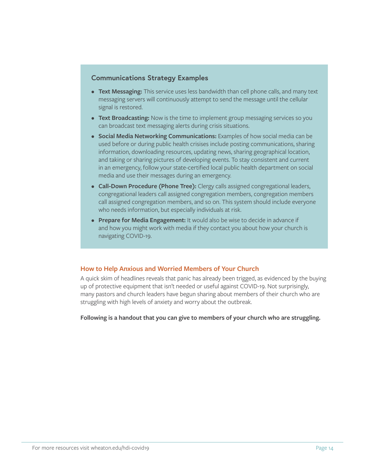#### **Communications Strategy Examples**

- **• Text Messaging:** This service uses less bandwidth than cell phone calls, and many text messaging servers will continuously attempt to send the message until the cellular signal is restored.
- **• Text Broadcasting:** Now is the time to implement group messaging services so you can broadcast text messaging alerts during crisis situations.
- **• Social Media Networking Communications:** Examples of how social media can be used before or during public health crisises include posting communications, sharing information, downloading resources, updating news, sharing geographical location, and taking or sharing pictures of developing events. To stay consistent and current in an emergency, follow your state-certified local public health department on social media and use their messages during an emergency.
- **• Call-Down Procedure (Phone Tree):** Clergy calls assigned congregational leaders, congregational leaders call assigned congregation members, congregation members call assigned congregation members, and so on. This system should include everyone who needs information, but especially individuals at risk.
- **• Prepare for Media Engagement:** It would also be wise to decide in advance if and how you might work with media if they contact you about how your church is navigating COVID-19.

#### **How to Help Anxious and Worried Members of Your Church**

A quick skim of headlines reveals that panic has already been trigged, as evidenced by the buying up of protective equipment that isn't needed or useful against COVID-19. Not surprisingly, many pastors and church leaders have begun sharing about members of their church who are struggling with high levels of anxiety and worry about the outbreak.

**Following is a handout that you can give to members of your church who are struggling.**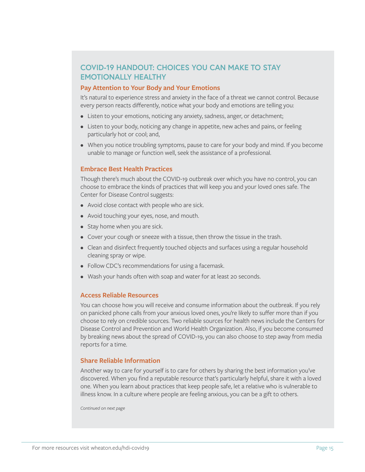### **COVID-19 HANDOUT: CHOICES YOU CAN MAKE TO STAY EMOTIONALLY HEALTHY**

#### **Pay Attention to Your Body and Your Emotions**

It's natural to experience stress and anxiety in the face of a threat we cannot control. Because every person reacts differently, notice what your body and emotions are telling you:

- Listen to your emotions, noticing any anxiety, sadness, anger, or detachment;
- Listen to your body, noticing any change in appetite, new aches and pains, or feeling particularly hot or cool; and,
- When you notice troubling symptoms, pause to care for your body and mind. If you become unable to manage or function well, seek the assistance of a professional.

#### **Embrace Best Health Practices**

Though there's much about the COVID-19 outbreak over which you have no control, you can choose to embrace the kinds of practices that will keep you and your loved ones safe. The Center for Disease Control suggests:

- Avoid close contact with people who are sick.
- Avoid touching your eyes, nose, and mouth.
- Stay home when you are sick.
- Cover your cough or sneeze with a tissue, then throw the tissue in the trash.
- Clean and disinfect frequently touched objects and surfaces using a regular household cleaning spray or wipe.
- Follow CDC's recommendations for using a facemask.
- Wash your hands often with soap and water for at least 20 seconds.

#### **Access Reliable Resources**

You can choose how you will receive and consume information about the outbreak. If you rely on panicked phone calls from your anxious loved ones, you're likely to suffer more than if you choose to rely on credible sources. Two reliable sources for health news include the Centers for Disease Control and Prevention and World Health Organization. Also, if you become consumed by breaking news about the spread of COVID-19, you can also choose to step away from media reports for a time.

#### **Share Reliable Information**

Another way to care for yourself is to care for others by sharing the best information you've discovered. When you find a reputable resource that's particularly helpful, share it with a loved one. When you learn about practices that keep people safe, let a relative who is vulnerable to illness know. In a culture where people are feeling anxious, you can be a gift to others.

*Continued on next page*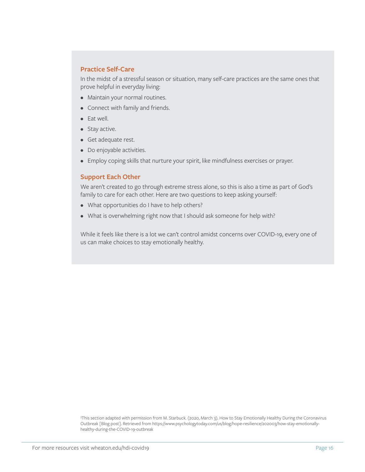#### **Practice Self-Care**

In the midst of a stressful season or situation, many self-care practices are the same ones that prove helpful in everyday living:

- Maintain your normal routines.
- Connect with family and friends.
- Eat well.
- Stay active.
- Get adequate rest.
- Do enjoyable activities.
- Employ coping skills that nurture your spirit, like mindfulness exercises or prayer.

#### **Support Each Other**

We aren't created to go through extreme stress alone, so this is also a time as part of God's family to care for each other. Here are two questions to keep asking yourself:

- What opportunities do I have to help others?
- What is overwhelming right now that I should ask someone for help with?

While it feels like there is a lot we can't control amidst concerns over COVID-19, every one of us can make choices to stay emotionally healthy.

3 This section adapted with permission from M. Starbuck. (2020, March 3). How to Stay Emotionally Healthy During the Coronavirus Outbreak [Blog post]. Retrieved from https://www.psychologytoday.com/us/blog/hope-resilience/202003/how-stay-emotionallyhealthy-during-the-COVID-19-outbreak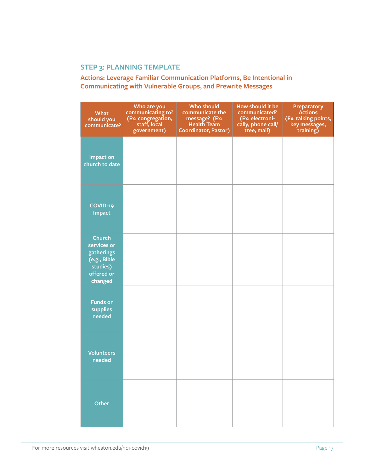### **STEP 3: PLANNING TEMPLATE**

**Actions: Leverage Familiar Communication Platforms, Be Intentional in Communicating with Vulnerable Groups, and Prewrite Messages**

| What<br>should you<br>communicate?                                                              | Who are you<br>communicating to?<br>(Ex: congregation,<br>staff, local<br>government) | <b>Who should</b><br>communicate the<br>message? (Ex:<br><b>Health Team</b><br><b>Coordinator, Pastor)</b> | How should it be<br>communicated?<br>(Ex: electroni-<br>cally, phone call/<br>tree, mail) | <b>Preparatory</b><br><b>Actions</b><br>(Ex: talking points,<br>key messages,<br>training) |
|-------------------------------------------------------------------------------------------------|---------------------------------------------------------------------------------------|------------------------------------------------------------------------------------------------------------|-------------------------------------------------------------------------------------------|--------------------------------------------------------------------------------------------|
| <b>Impact on</b><br>church to date                                                              |                                                                                       |                                                                                                            |                                                                                           |                                                                                            |
| COVID-19<br><b>Impact</b>                                                                       |                                                                                       |                                                                                                            |                                                                                           |                                                                                            |
| <b>Church</b><br>services or<br>gatherings<br>(e.g., Bible<br>studies)<br>offered or<br>changed |                                                                                       |                                                                                                            |                                                                                           |                                                                                            |
| <b>Funds or</b><br>supplies<br>needed                                                           |                                                                                       |                                                                                                            |                                                                                           |                                                                                            |
| <b>Volunteers</b><br>needed                                                                     |                                                                                       |                                                                                                            |                                                                                           |                                                                                            |
| Other                                                                                           |                                                                                       |                                                                                                            |                                                                                           |                                                                                            |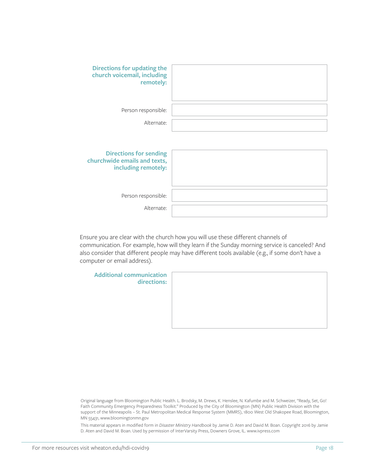| <b>Directions for updating the</b><br>church voicemail, including<br>remotely:       |  |
|--------------------------------------------------------------------------------------|--|
| Person responsible:                                                                  |  |
| Alternate:                                                                           |  |
| <b>Directions for sending</b><br>churchwide emails and texts,<br>including remotely: |  |
| Person responsible:                                                                  |  |
| Alternate:                                                                           |  |

Ensure you are clear with the church how you will use these different channels of communication. For example, how will they learn if the Sunday morning service is canceled? And also consider that different people may have different tools available (e.g., if some don't have a computer or email address).

**Additional communication directions:**

Original language from Bloomington Public Health. L. Brodsky, M. Drews, K. Henslee, N. Kafumbe and M. Schweizer, "Ready, Set, Go! Faith Community Emergency Preparedness Toolkit." Produced by the City of Bloomington (MN) Public Health Division with the support of the Minneapolis – St. Paul Metropolitan Medical Response System (MMRS), 1800 West Old Shakopee Road, Bloomington, MN 55431, www.bloomingtonmn.gov

This material appears in modified form in *Disaster Ministry Handbook* by Jamie D. Aten and David M. Boan. Copyright 2016 by Jamie D. Aten and David M. Boan. Used by permission of InterVarsity Press, Downers Grove, IL. www.ivpress.com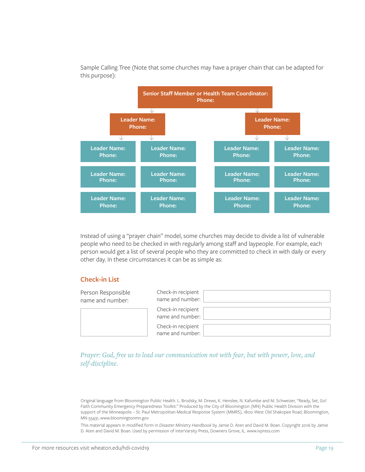

Sample Calling Tree (Note that some churches may have a prayer chain that can be adapted for this purpose):

Instead of using a "prayer chain" model, some churches may decide to divide a list of vulnerable people who need to be checked in with regularly among staff and laypeople. For example, each person would get a list of several people who they are committed to check in with daily or every other day. In these circumstances it can be as simple as:

#### **Check-in List**

| Person Responsible<br>name and number: | Check-in recipient<br>name and number: |
|----------------------------------------|----------------------------------------|
|                                        | Check-in recipient<br>name and number: |
|                                        | Check-in recipient<br>name and number: |

*Prayer: God, free us to lead our communication not with fear, but with power, love, and self-discipline.*

Original language from Bloomington Public Health. L. Brodsky, M. Drews, K. Henslee, N. Kafumbe and M. Schweizer, "Ready, Set, Go! Faith Community Emergency Preparedness Toolkit." Produced by the City of Bloomington (MN) Public Health Division with the support of the Minneapolis – St. Paul Metropolitan Medical Response System (MMRS), 1800 West Old Shakopee Road, Bloomington, MN 55431, www.bloomingtonmn.gov

This material appears in modified form in *Disaster Ministry Handbook* by Jamie D. Aten and David M. Boan. Copyright 2016 by Jamie D. Aten and David M. Boan. Used by permission of InterVarsity Press, Downers Grove, IL. www.ivpress.com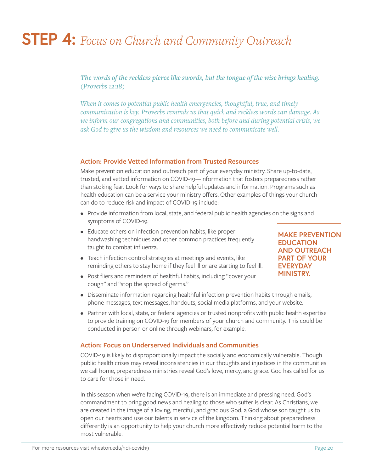### **STEP 4:** *Focus on Church and Community Outreach*

*The words of the reckless pierce like swords, but the tongue of the wise brings healing. (Proverbs 12:18)*

*When it comes to potential public health emergencies, thoughtful, true, and timely communication is key. Proverbs reminds us that quick and reckless words can damage. As we inform our congregations and communities, both before and during potential crisis, we ask God to give us the wisdom and resources we need to communicate well.*

#### **Action: Provide Vetted Information from Trusted Resources**

Make prevention education and outreach part of your everyday ministry. Share up-to-date, trusted, and vetted information on COVID-19—information that fosters preparedness rather than stoking fear. Look for ways to share helpful updates and information. Programs such as health education can be a service your ministry offers. Other examples of things your church can do to reduce risk and impact of COVID-19 include:

- Provide information from local, state, and federal public health agencies on the signs and symptoms of COVID-19.
- Educate others on infection prevention habits, like proper handwashing techniques and other common practices frequently taught to combat influenza.
- Teach infection control strategies at meetings and events, like reminding others to stay home if they feel ill or are starting to feel ill.
- Post fliers and reminders of healthful habits, including "cover your cough" and "stop the spread of germs."

**EDUCATION AND OUTREACH PART OF YOUR EVERYDAY MINISTRY.**

**MAKE PREVENTION** 

- Disseminate information regarding healthful infection prevention habits through emails, phone messages, text messages, handouts, social media platforms, and your website.
- Partner with local, state, or federal agencies or trusted nonprofits with public health expertise to provide training on COVID-19 for members of your church and community. This could be conducted in person or online through webinars, for example.

#### **Action: Focus on Underserved Individuals and Communities**

COVID-19 is likely to disproportionally impact the socially and economically vulnerable. Though public health crises may reveal inconsistencies in our thoughts and injustices in the communities we call home, preparedness ministries reveal God's love, mercy, and grace. God has called for us to care for those in need.

In this season when we're facing COVID-19, there is an immediate and pressing need. God's commandment to bring good news and healing to those who suffer is clear. As Christians, we are created in the image of a loving, merciful, and gracious God, a God whose son taught us to open our hearts and use our talents in service of the kingdom. Thinking about preparedness differently is an opportunity to help your church more effectively reduce potential harm to the most vulnerable.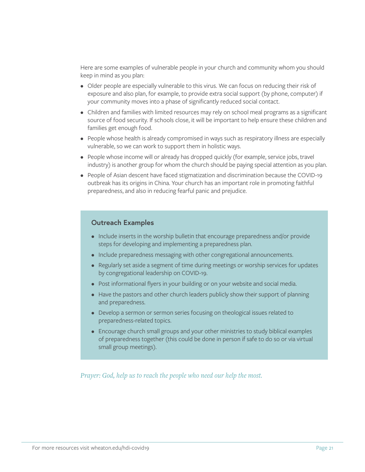Here are some examples of vulnerable people in your church and community whom you should keep in mind as you plan:

- Older people are especially vulnerable to this virus. We can focus on reducing their risk of exposure and also plan, for example, to provide extra social support (by phone, computer) if your community moves into a phase of significantly reduced social contact.
- Children and families with limited resources may rely on school meal programs as a significant source of food security. If schools close, it will be important to help ensure these children and families get enough food.
- People whose health is already compromised in ways such as respiratory illness are especially vulnerable, so we can work to support them in holistic ways.
- People whose income will or already has dropped quickly (for example, service jobs, travel industry) is another group for whom the church should be paying special attention as you plan.
- People of Asian descent have faced stigmatization and discrimination because the COVID-19 outbreak has its origins in China. Your church has an important role in promoting faithful preparedness, and also in reducing fearful panic and prejudice.

#### **Outreach Examples**

- Include inserts in the worship bulletin that encourage preparedness and/or provide steps for developing and implementing a preparedness plan.
- Include preparedness messaging with other congregational announcements.
- Regularly set aside a segment of time during meetings or worship services for updates by congregational leadership on COVID-19.
- Post informational flyers in your building or on your website and social media.
- Have the pastors and other church leaders publicly show their support of planning and preparedness.
- Develop a sermon or sermon series focusing on theological issues related to preparedness-related topics.
- Encourage church small groups and your other ministries to study biblical examples of preparedness together (this could be done in person if safe to do so or via virtual small group meetings).

*Prayer: God, help us to reach the people who need our help the most.*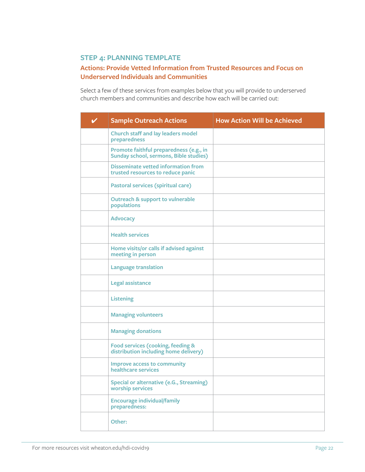### **STEP 4: PLANNING TEMPLATE**

#### **Actions: Provide Vetted Information from Trusted Resources and Focus on Underserved Individuals and Communities**

Select a few of these services from examples below that you will provide to underserved church members and communities and describe how each will be carried out:

| <b>Sample Outreach Actions</b>                                                           | <b>How Action Will be Achieved</b> |
|------------------------------------------------------------------------------------------|------------------------------------|
| <b>Church staff and lay leaders model</b><br>preparedness                                |                                    |
| Promote faithful preparedness (e.g., in<br><b>Sunday school, sermons, Bible studies)</b> |                                    |
| <b>Disseminate vetted information from</b><br>trusted resources to reduce panic          |                                    |
| Pastoral services (spiritual care)                                                       |                                    |
| <b>Outreach &amp; support to vulnerable</b><br>populations                               |                                    |
| <b>Advocacy</b>                                                                          |                                    |
| <b>Health services</b>                                                                   |                                    |
| Home visits/or calls if advised against<br>meeting in person                             |                                    |
| <b>Language translation</b>                                                              |                                    |
| <b>Legal assistance</b>                                                                  |                                    |
| <b>Listening</b>                                                                         |                                    |
| <b>Managing volunteers</b>                                                               |                                    |
| <b>Managing donations</b>                                                                |                                    |
| Food services (cooking, feeding &<br>distribution including home delivery)               |                                    |
| <b>Improve access to community</b><br>healthcare services                                |                                    |
| <b>Special or alternative (e.G., Streaming)</b><br>worship services                      |                                    |
| <b>Encourage individual/family</b><br>preparedness:                                      |                                    |
| Other:                                                                                   |                                    |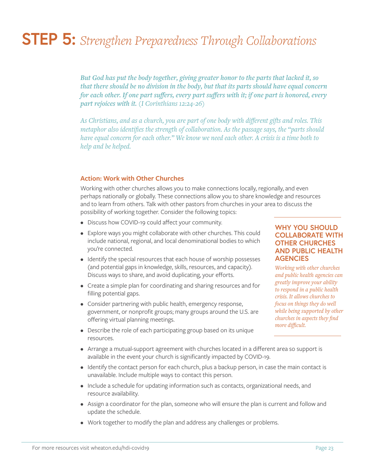# **STEP 5:** *Strengthen Preparedness Through Collaborations*

*But God has put the body together, giving greater honor to the parts that lacked it, so that there should be no division in the body, but that its parts should have equal concern for each other. If one part suffers, every part suffers with it; if one part is honored, every part rejoices with it. (I Corinthians 12:24-26)*

*As Christians, and as a church, you are part of one body with different gifts and roles. This metaphor also identifies the strength of collaboration. As the passage says, the "parts should have equal concern for each other." We know we need each other. A crisis is a time both to help and be helped.* 

#### **Action: Work with Other Churches**

Working with other churches allows you to make connections locally, regionally, and even perhaps nationally or globally. These connections allow you to share knowledge and resources and to learn from others. Talk with other pastors from churches in your area to discuss the possibility of working together. Consider the following topics:

- Discuss how COVID-19 could affect your community.
- Explore ways you might collaborate with other churches. This could include national, regional, and local denominational bodies to which you're connected.
- Identify the special resources that each house of worship possesses (and potential gaps in knowledge, skills, resources, and capacity). Discuss ways to share, and avoid duplicating, your efforts.
- Create a simple plan for coordinating and sharing resources and for filling potential gaps.
- Consider partnering with public health, emergency response, government, or nonprofit groups; many groups around the U.S. are offering virtual planning meetings.
- Describe the role of each participating group based on its unique resources.

#### **WHY YOU SHOULD COLLABORATE WITH OTHER CHURCHES AND PUBLIC HEALTH AGENCIES**

*Working with other churches and public health agencies can greatly improve your ability to respond in a public health crisis. It allows churches to focus on things they do well while being supported by other churches in aspects they find more difficult.* 

- Arrange a mutual-support agreement with churches located in a different area so support is available in the event your church is significantly impacted by COVID-19.
- Identify the contact person for each church, plus a backup person, in case the main contact is unavailable. Include multiple ways to contact this person.
- Include a schedule for updating information such as contacts, organizational needs, and resource availability.
- Assign a coordinator for the plan, someone who will ensure the plan is current and follow and update the schedule.
- Work together to modify the plan and address any challenges or problems.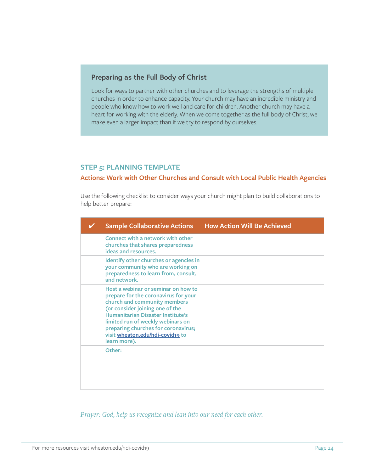#### **Preparing as the Full Body of Christ**

Look for ways to partner with other churches and to leverage the strengths of multiple churches in order to enhance capacity. Your church may have an incredible ministry and people who know how to work well and care for children. Another church may have a heart for working with the elderly. When we come together as the full body of Christ, we make even a larger impact than if we try to respond by ourselves.

#### **STEP 5: PLANNING TEMPLATE**

#### **Actions: Work with Other Churches and Consult with Local Public Health Agencies**

Use the following checklist to consider ways your church might plan to build collaborations to help better prepare:

| <b>Sample Collaborative Actions</b>                                                                                                                                                                                                                                                                                        | <b>How Action Will Be Achieved</b> |
|----------------------------------------------------------------------------------------------------------------------------------------------------------------------------------------------------------------------------------------------------------------------------------------------------------------------------|------------------------------------|
| Connect with a network with other<br>churches that shares preparedness<br>ideas and resources.                                                                                                                                                                                                                             |                                    |
| Identify other churches or agencies in<br>your community who are working on<br>preparedness to learn from, consult,<br>and network.                                                                                                                                                                                        |                                    |
| Host a webinar or seminar on how to<br>prepare for the coronavirus for your<br>church and community members<br>(or consider joining one of the<br><b>Humanitarian Disaster Institute's</b><br>limited run of weekly webinars on<br>preparing churches for coronavirus;<br>visit wheaton.edu/hdi-covid19 to<br>learn more). |                                    |
| Other:                                                                                                                                                                                                                                                                                                                     |                                    |

*Prayer: God, help us recognize and lean into our need for each other.*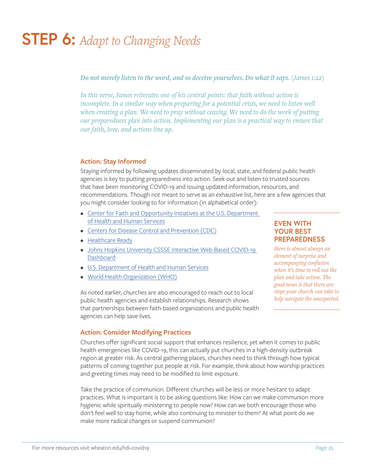# **STEP 6:** *Adapt to Changing Needs*

*Do not merely listen to the word, and so deceive yourselves. Do what it says. (James 1:22)*

*In this verse, James reiterates one of his central points: that faith without action is incomplete. In a similar way when preparing for a potential crisis, we need to listen well when creating a plan. We need to pray without ceasing. We need to do the work of putting our preparedness plan into action. Implementing our plan is a practical way to ensure that our faith, love, and actions line up.*

#### **Action: Stay Informed**

Staying informed by following updates disseminated by local, state, and federal public health agencies is key to putting preparedness into action. Seek out and listen to trusted sources that have been monitoring COVID-19 and issuing updated information, resources, and recommendations. Though not meant to serve as an exhaustive list, here are a few agencies that you might consider looking to for information (in alphabetical order):

- Center for Faith and Opportunity Initiatives at the U.S. Department [of Health and Human Services](https://www.hhs.gov/about/agencies/iea/partnerships/index.html)
- [Centers for Disease Control and Prevention \(CDC\)](https://www.cdc.gov/)
- [Healthcare Ready](https://healthcareready.org/)
- [Johns Hopkins University CSSSE Interactive Web-Based COVID-19](https://www.arcgis.com/apps/opsdashboard/index.html#/bda7594740fd40299423467b48e9ecf6)  **[Dashboard](https://www.arcgis.com/apps/opsdashboard/index.html#/bda7594740fd40299423467b48e9ecf6)**
- [U.S. Department of Health and Human Services](https://www.hhs.gov/)
- [World Health Organization \(WHO\)](https://www.who.int/)

As noted earlier, churches are also encouraged to reach out to local public health agencies and establish relationships. Research shows that partnerships between faith-based organizations and public health agencies can help save lives.

#### **EVEN WITH YOUR BEST PREPAREDNESS**

*there is almost always an element of surprise and accompanying confusion when it's time to roll out the plan and take action. The good news is that there are steps your church can take to help navigate the unexpected.*

#### **Action: Consider Modifying Practices**

Churches offer significant social support that enhances resilience, yet when it comes to public health emergencies like COVID-19, this can actually put churches in a high-density outbreak region at greater risk. As central gathering places, churches need to think through how typical patterns of coming together put people at risk. For example, think about how worship practices and greeting times may need to be modified to limit exposure.

Take the practice of communion. Different churches will be less or more hesitant to adapt practices. What is important is to be asking questions like: How can we make communion more hygienic while spiritually ministering to people now? How can we both encourage those who don't feel well to stay home, while also continuing to minister to them? At what point do we make more radical changes or suspend communion?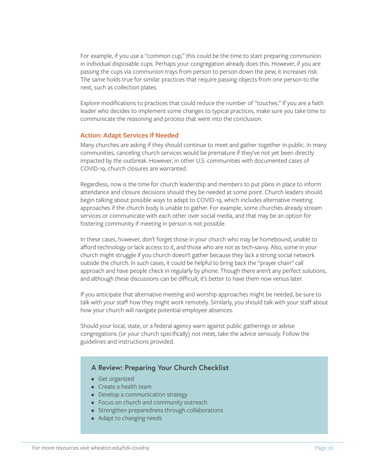For example, if you use a "common cup," this could be the time to start preparing communion in individual disposable cups. Perhaps your congregation already does this. However, if you are passing the cups via communion trays from person to person down the pew, it increases risk. The same holds true for similar practices that require passing objects from one person to the next, such as collection plates.

Explore modifications to practices that could reduce the number of "touches." If you are a faith leader who decides to implement some changes to typical practices, make sure you take time to communicate the reasoning and process that went into the conclusion.

#### **Action: Adapt Services if Needed**

Many churches are asking if they should continue to meet and gather together in public. In many communities, canceling church services would be premature if they've not yet been directly impacted by the outbreak. However, in other U.S. communities with documented cases of COVID-19, church closures are warranted.

Regardless, now is the time for church leadership and members to put plans in place to inform attendance and closure decisions should they be needed at some point. Church leaders should begin talking about possible ways to adapt to COVID-19, which includes alternative meeting approaches if the church body is unable to gather. For example, some churches already stream services or communicate with each other over social media, and that may be an option for fostering community if meeting in person is not possible.

In these cases, however, don't forget those in your church who may be homebound, unable to afford technology or lack access to it, and those who are not as tech-savvy. Also, some in your church might struggle if you church doesn't gather because they lack a strong social network outside the church. In such cases, it could be helpful to bring back the "prayer chain" call approach and have people check in regularly by phone. Though there aren't any perfect solutions, and although these discussions can be difficult, it's better to have them now versus later.

If you anticipate that alternative meeting and worship approaches might be needed, be sure to talk with your staff how they might work remotely. Similarly, you should talk with your staff about how your church will navigate potential employee absences.

Should your local, state, or a federal agency warn against public gatherings or advise congregations (or your church specifically) not meet, take the advice seriously. Follow the guidelines and instructions provided.

#### **A Review: Preparing Your Church Checklist**

- Get organized
- Create a health team
- Develop a communication strategy
- Focus on church and community outreach
- Strengthen preparedness through collaborations
- Adapt to changing needs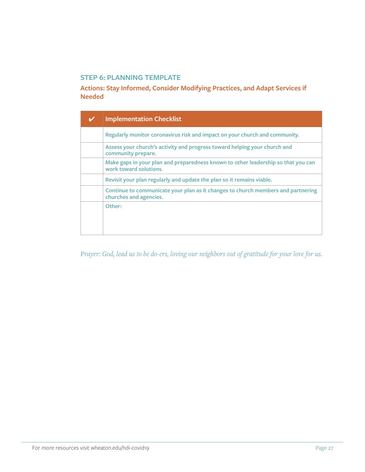### **STEP 6: PLANNING TEMPLATE**

**Actions: Stay Informed, Consider Modifying Practices, and Adapt Services if Needed** 

| <b>Implementation Checklist</b>                                                                             |
|-------------------------------------------------------------------------------------------------------------|
| Regularly monitor coronavirus risk and impact on your church and community.                                 |
| Assess your church's activity and progress toward helping your church and<br>community prepare.             |
| Make gaps in your plan and preparedness known to other leadership so that you can<br>work toward solutions. |
| Revisit your plan regularly and update the plan so it remains viable.                                       |
| Continue to communicate your plan as it changes to church members and partnering<br>churches and agencies.  |
| Other:                                                                                                      |

*Prayer: God, lead us to be do-ers, loving our neighbors out of gratitude for your love for us.*